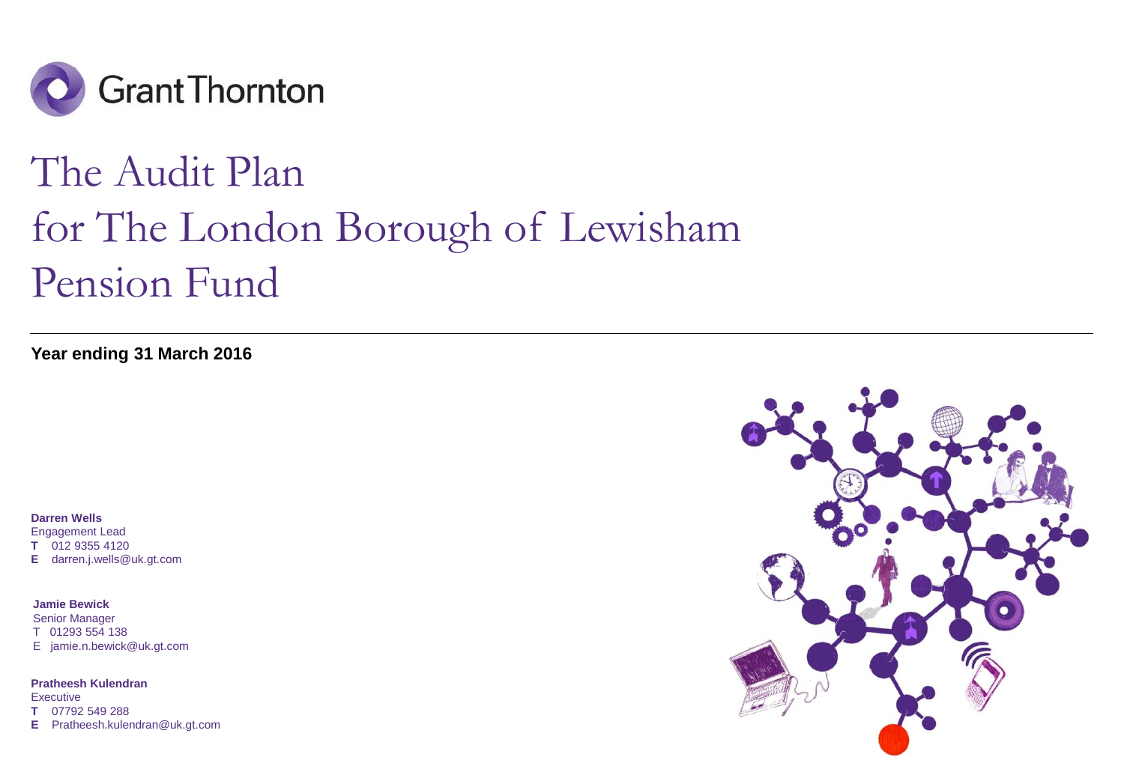

# The Audit Plan for The London Borough of Lewisham Pension Fund

**Year ending 31 March 2016**

**Darren Wells** Engagement Lead **T** 012 9355 4120 **E** darren.j.wells@uk.gt.com

**Jamie Bewick** Senior Manager T 01293 554 138 E jamie.n.bewick@uk.gt.com

**Pratheesh Kulendran Executive T** 07792 549 288 **E** Pratheesh.kulendran@uk.gt.com

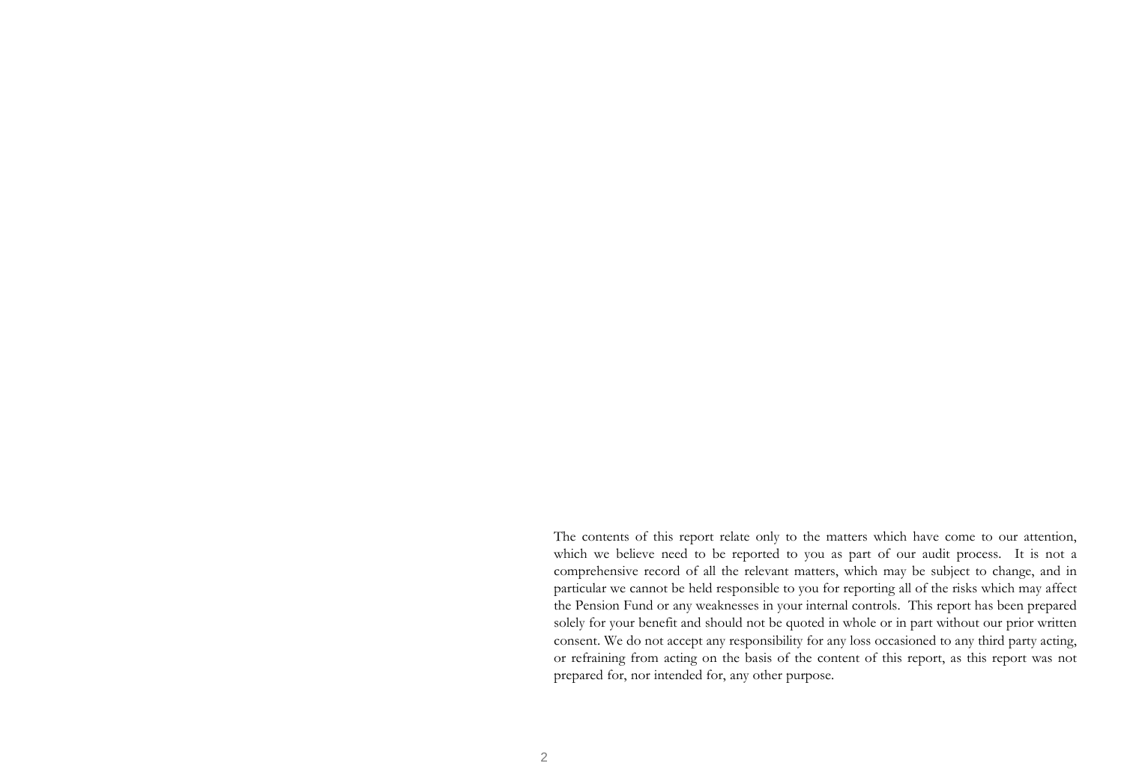The contents of this report relate only to the matters which have come to our attention, which we believe need to be reported to you as part of our audit process. It is not a comprehensive record of all the relevant matters, which may be subject to change, and in particular we cannot be held responsible to you for reporting all of the risks which may affect the Pension Fund or any weaknesses in your internal controls. This report has been prepared solely for your benefit and should not be quoted in whole or in part without our prior written consent. We do not accept any responsibility for any loss occasioned to any third party acting, or refraining from acting on the basis of the content of this report, as this report was not prepared for, nor intended for, any other purpose.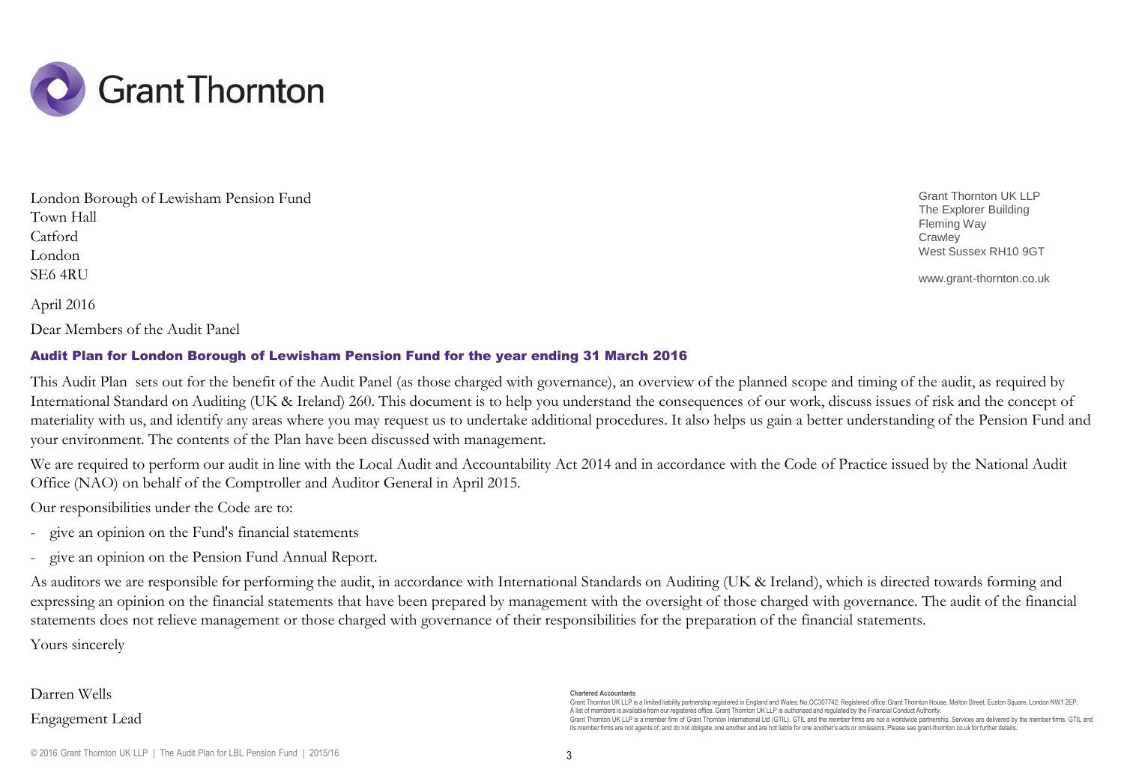

April 2016 London Borough of Lewisham Pension Fund Town Hall Catford London SE6 4RU

Dear Members of the Audit Panel

### Audit Plan for London Borough of Lewisham Pension Fund for the year ending 31 March 2016

This Audit Plan sets out for the benefit of the Audit Panel (as those charged with governance), an overview of the planned scope and timing of the audit, as required by International Standard on Auditing (UK & Ireland) 260. This document is to help you understand the consequences of our work, discuss issues of risk and the concept of materiality with us, and identify any areas where you may request us to undertake additional procedures. It also helps us gain a better understanding of the Pension Fund and your environment. The contents of the Plan have been discussed with management.

We are required to perform our audit in line with the Local Audit and Accountability Act 2014 and in accordance with the Code of Practice issued by the National Audit Office (NAO) on behalf of the Comptroller and Auditor General in April 2015.

Our responsibilities under the Code are to:

- give an opinion on the Fund's financial statements
- give an opinion on the Pension Fund Annual Report.

As auditors we are responsible for performing the audit, in accordance with International Standards on Auditing (UK & Ireland), which is directed towards forming and expressing an opinion on the financial statements that have been prepared by management with the oversight of those charged with governance. The audit of the financial statements does not relieve management or those charged with governance of their responsibilities for the preparation of the financial statements.

Yours sincerely

### Darren Wells Engagement Lead

#### **Chartered Accountants**

Grant Thornton UK LLP is a limited liability partnership registered in England and Wales: No.OC307742. Registered office:Grant Thornton House, Melton Street, Euston Square, London NW1 2EP. A list of members is available from our registered office.Grant Thornton UK LLP is authorised and regulated by the Financial Conduct Authority. Grant Thornton UK LLP is a member firm of Grant Thornton International Ltd (GTIL). GTIL and the member firms are not a worldwide partnership. Services are delivered by the member firms. GTIL and its member firms are not agents of, and do not obligate, one another and are not liable for one another's acts or omissions.Please see grant-thornton.co.uk for further details.

Grant Thornton UK LLP The Explorer Building Fleming Way **Crawley** West Sussex RH10 9GT

www.grant-thornton.co.uk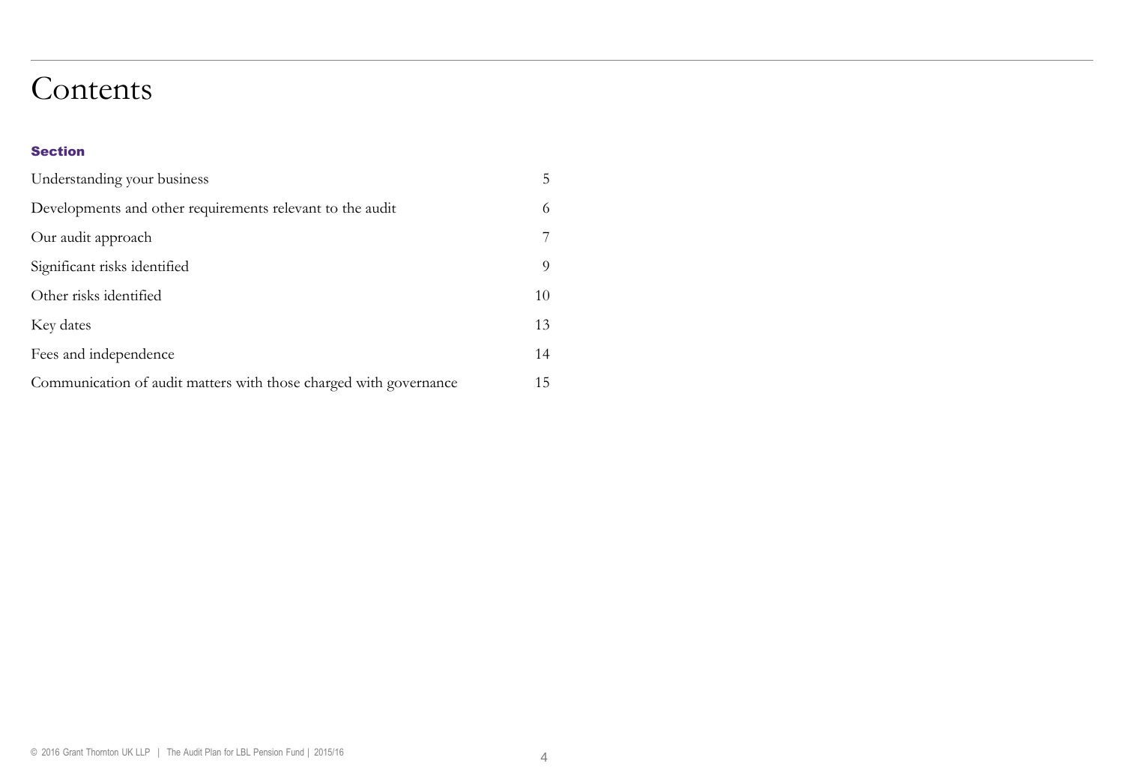### Contents

#### Section

| Understanding your business                                       | 5  |
|-------------------------------------------------------------------|----|
| Developments and other requirements relevant to the audit         | 6  |
| Our audit approach                                                | 7  |
| Significant risks identified                                      | 9  |
| Other risks identified                                            | 10 |
| Key dates                                                         | 13 |
| Fees and independence                                             | 14 |
| Communication of audit matters with those charged with governance | 15 |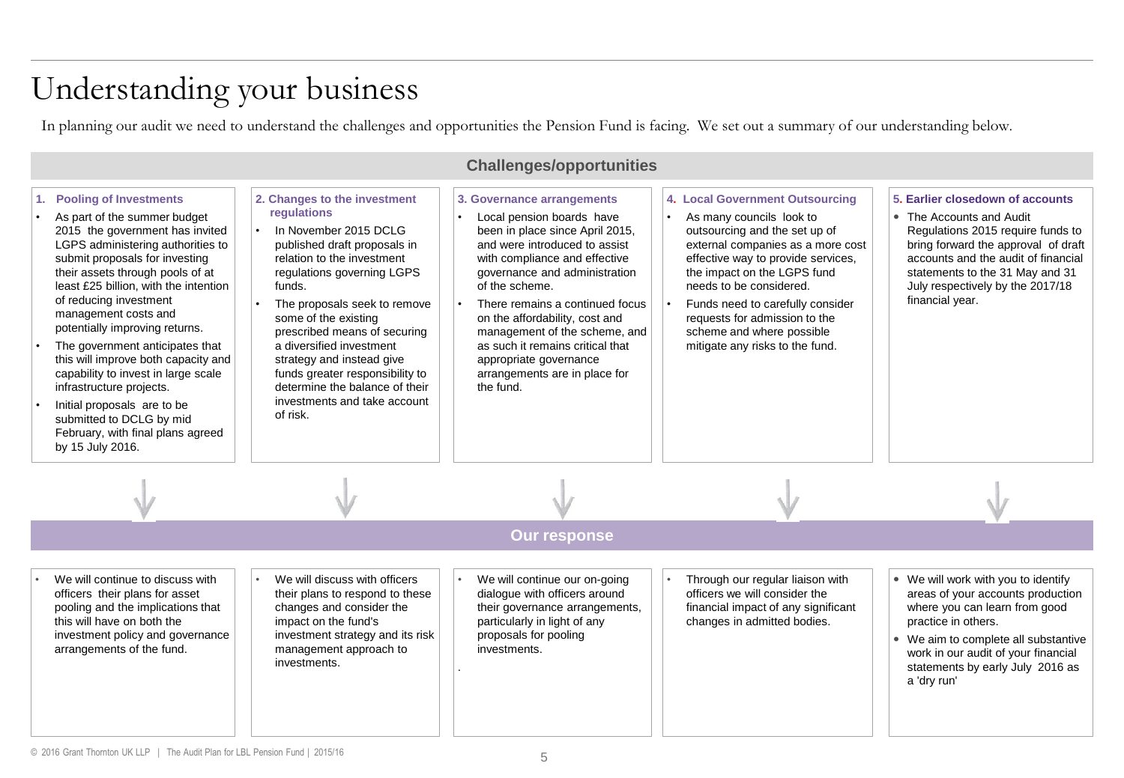## Understanding your business

In planning our audit we need to understand the challenges and opportunities the Pension Fund is facing. We set out a summary of our understanding below.

| <b>Challenges/opportunities</b>                                                                                                                                                                                                                                                                                                                                                                                                                                                                                                                                                                           |                                                                                                                                                                                                                                                                                                                                                                                                                                                           |                                                                                                                                                                                                                                                                                                                                                                                                                                   |                                                                                                                                                                                                                                                                                                                                                                        |                                                                                                                                                                                                                                                                           |
|-----------------------------------------------------------------------------------------------------------------------------------------------------------------------------------------------------------------------------------------------------------------------------------------------------------------------------------------------------------------------------------------------------------------------------------------------------------------------------------------------------------------------------------------------------------------------------------------------------------|-----------------------------------------------------------------------------------------------------------------------------------------------------------------------------------------------------------------------------------------------------------------------------------------------------------------------------------------------------------------------------------------------------------------------------------------------------------|-----------------------------------------------------------------------------------------------------------------------------------------------------------------------------------------------------------------------------------------------------------------------------------------------------------------------------------------------------------------------------------------------------------------------------------|------------------------------------------------------------------------------------------------------------------------------------------------------------------------------------------------------------------------------------------------------------------------------------------------------------------------------------------------------------------------|---------------------------------------------------------------------------------------------------------------------------------------------------------------------------------------------------------------------------------------------------------------------------|
| <b>Pooling of Investments</b><br>As part of the summer budget<br>2015 the government has invited<br>LGPS administering authorities to<br>submit proposals for investing<br>their assets through pools of at<br>least £25 billion, with the intention<br>of reducing investment<br>management costs and<br>potentially improving returns.<br>The government anticipates that<br>this will improve both capacity and<br>capability to invest in large scale<br>infrastructure projects.<br>Initial proposals are to be<br>submitted to DCLG by mid<br>February, with final plans agreed<br>by 15 July 2016. | 2. Changes to the investment<br>regulations<br>In November 2015 DCLG<br>$\bullet$<br>published draft proposals in<br>relation to the investment<br>regulations governing LGPS<br>funds.<br>The proposals seek to remove<br>some of the existing<br>prescribed means of securing<br>a diversified investment<br>strategy and instead give<br>funds greater responsibility to<br>determine the balance of their<br>investments and take account<br>of risk. | 3. Governance arrangements<br>Local pension boards have<br>been in place since April 2015,<br>and were introduced to assist<br>with compliance and effective<br>governance and administration<br>of the scheme.<br>There remains a continued focus<br>on the affordability, cost and<br>management of the scheme, and<br>as such it remains critical that<br>appropriate governance<br>arrangements are in place for<br>the fund. | 4. Local Government Outsourcing<br>As many councils look to<br>outsourcing and the set up of<br>external companies as a more cost<br>effective way to provide services,<br>the impact on the LGPS fund<br>needs to be considered.<br>Funds need to carefully consider<br>requests for admission to the<br>scheme and where possible<br>mitigate any risks to the fund. | 5. Earlier closedown of accounts<br>• The Accounts and Audit<br>Regulations 2015 require funds to<br>bring forward the approval of draft<br>accounts and the audit of financial<br>statements to the 31 May and 31<br>July respectively by the 2017/18<br>financial year. |
|                                                                                                                                                                                                                                                                                                                                                                                                                                                                                                                                                                                                           |                                                                                                                                                                                                                                                                                                                                                                                                                                                           |                                                                                                                                                                                                                                                                                                                                                                                                                                   |                                                                                                                                                                                                                                                                                                                                                                        |                                                                                                                                                                                                                                                                           |
|                                                                                                                                                                                                                                                                                                                                                                                                                                                                                                                                                                                                           |                                                                                                                                                                                                                                                                                                                                                                                                                                                           | <b>Our response</b>                                                                                                                                                                                                                                                                                                                                                                                                               |                                                                                                                                                                                                                                                                                                                                                                        |                                                                                                                                                                                                                                                                           |
| We will continue to discuss with<br>officers their plans for asset<br>pooling and the implications that<br>this will have on both the<br>investment policy and governance<br>arrangements of the fund.                                                                                                                                                                                                                                                                                                                                                                                                    | We will discuss with officers<br>their plans to respond to these<br>changes and consider the<br>impact on the fund's<br>investment strategy and its risk<br>management approach to<br>investments.                                                                                                                                                                                                                                                        | We will continue our on-going<br>dialogue with officers around<br>their governance arrangements,<br>particularly in light of any<br>proposals for pooling<br>investments.                                                                                                                                                                                                                                                         | Through our regular liaison with<br>officers we will consider the<br>financial impact of any significant<br>changes in admitted bodies.                                                                                                                                                                                                                                | • We will work with you to identify<br>areas of your accounts production<br>where you can learn from good<br>practice in others.<br>• We aim to complete all substantive<br>work in our audit of your financial<br>statements by early July 2016 as<br>a 'dry run'        |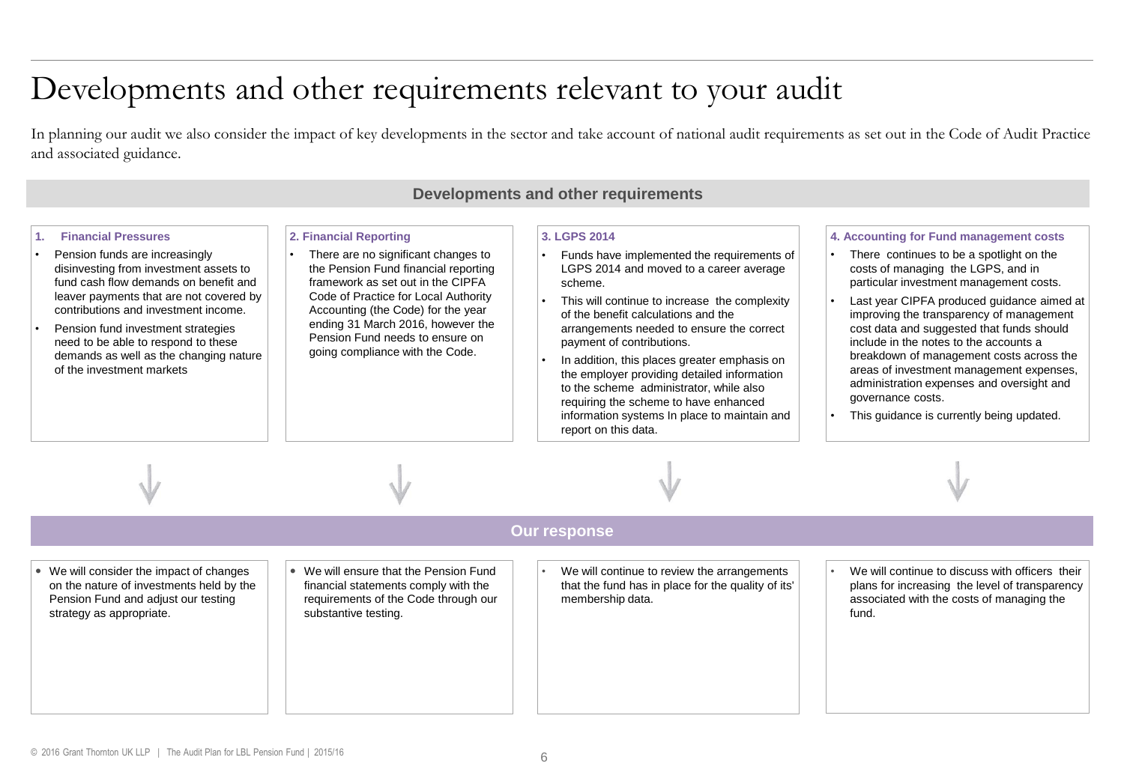### Developments and other requirements relevant to your audit

In planning our audit we also consider the impact of key developments in the sector and take account of national audit requirements as set out in the Code of Audit Practice and associated guidance.

| Developments and other requirements                                                                                                                                                                                                                                                                                                                                                                      |                                                                                                                                                                                                                                                                                                                                     |                                                                                                                                                                                                                                                                                                                                                                                                                                                                                                                                               |                                                                                                                                                                                                                                                                                                                                                                                                                                                                                                                                                              |
|----------------------------------------------------------------------------------------------------------------------------------------------------------------------------------------------------------------------------------------------------------------------------------------------------------------------------------------------------------------------------------------------------------|-------------------------------------------------------------------------------------------------------------------------------------------------------------------------------------------------------------------------------------------------------------------------------------------------------------------------------------|-----------------------------------------------------------------------------------------------------------------------------------------------------------------------------------------------------------------------------------------------------------------------------------------------------------------------------------------------------------------------------------------------------------------------------------------------------------------------------------------------------------------------------------------------|--------------------------------------------------------------------------------------------------------------------------------------------------------------------------------------------------------------------------------------------------------------------------------------------------------------------------------------------------------------------------------------------------------------------------------------------------------------------------------------------------------------------------------------------------------------|
| <b>Financial Pressures</b><br>1 <sup>1</sup><br>Pension funds are increasingly<br>disinvesting from investment assets to<br>fund cash flow demands on benefit and<br>leaver payments that are not covered by<br>contributions and investment income.<br>Pension fund investment strategies<br>need to be able to respond to these<br>demands as well as the changing nature<br>of the investment markets | 2. Financial Reporting<br>There are no significant changes to<br>the Pension Fund financial reporting<br>framework as set out in the CIPFA<br>Code of Practice for Local Authority<br>Accounting (the Code) for the year<br>ending 31 March 2016, however the<br>Pension Fund needs to ensure on<br>going compliance with the Code. | 3. LGPS 2014<br>Funds have implemented the requirements of<br>LGPS 2014 and moved to a career average<br>scheme.<br>This will continue to increase the complexity<br>of the benefit calculations and the<br>arrangements needed to ensure the correct<br>payment of contributions.<br>In addition, this places greater emphasis on<br>the employer providing detailed information<br>to the scheme administrator, while also<br>requiring the scheme to have enhanced<br>information systems In place to maintain and<br>report on this data. | 4. Accounting for Fund management costs<br>There continues to be a spotlight on the<br>costs of managing the LGPS, and in<br>particular investment management costs.<br>Last year CIPFA produced guidance aimed at<br>improving the transparency of management<br>cost data and suggested that funds should<br>include in the notes to the accounts a<br>breakdown of management costs across the<br>areas of investment management expenses,<br>administration expenses and oversight and<br>governance costs.<br>This quidance is currently being updated. |
|                                                                                                                                                                                                                                                                                                                                                                                                          |                                                                                                                                                                                                                                                                                                                                     |                                                                                                                                                                                                                                                                                                                                                                                                                                                                                                                                               |                                                                                                                                                                                                                                                                                                                                                                                                                                                                                                                                                              |
|                                                                                                                                                                                                                                                                                                                                                                                                          |                                                                                                                                                                                                                                                                                                                                     | <b>Our response</b>                                                                                                                                                                                                                                                                                                                                                                                                                                                                                                                           |                                                                                                                                                                                                                                                                                                                                                                                                                                                                                                                                                              |
| • We will consider the impact of changes<br>on the nature of investments held by the<br>Pension Fund and adjust our testing<br>strategy as appropriate.                                                                                                                                                                                                                                                  | • We will ensure that the Pension Fund<br>financial statements comply with the<br>requirements of the Code through our<br>substantive testing.                                                                                                                                                                                      | We will continue to review the arrangements<br>that the fund has in place for the quality of its'<br>membership data.                                                                                                                                                                                                                                                                                                                                                                                                                         | We will continue to discuss with officers their<br>plans for increasing the level of transparency<br>associated with the costs of managing the<br>fund.                                                                                                                                                                                                                                                                                                                                                                                                      |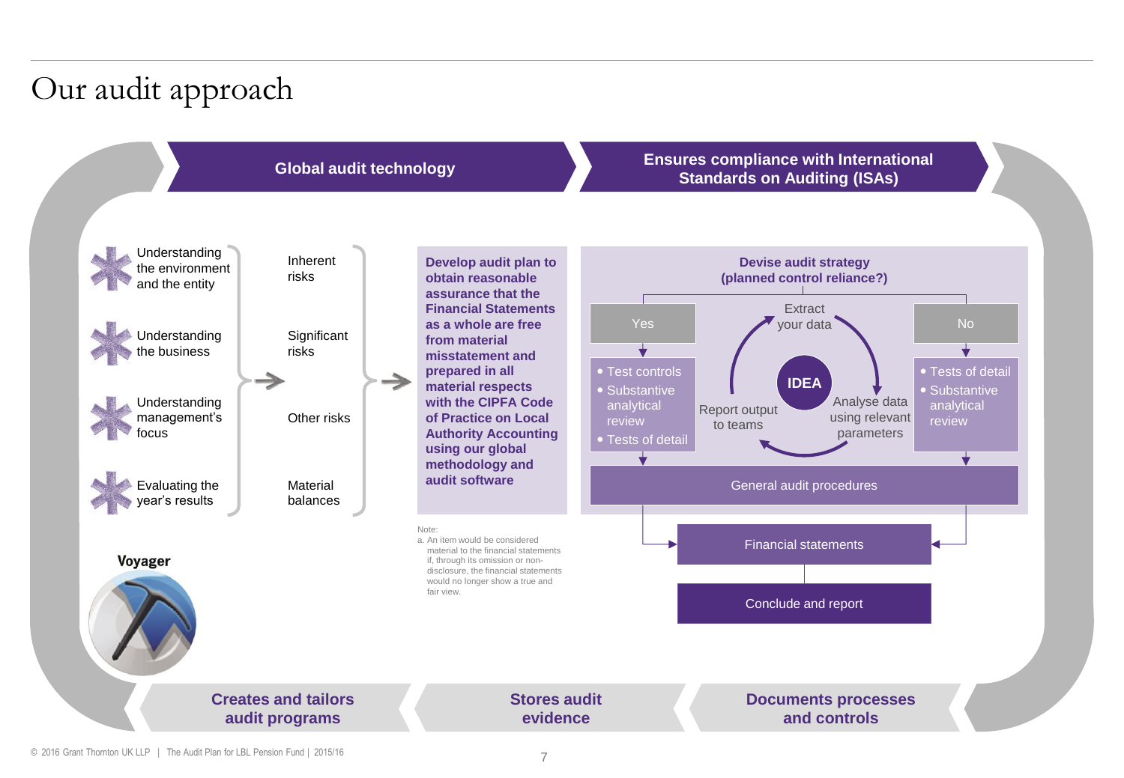# Our audit approach



#### **Global audit technology Ensures compliance with International Standards on Auditing (ISAs)**



© 2016 Grant Thornton UK LLP | The Audit Plan for LBL Pension Fund | 2015/16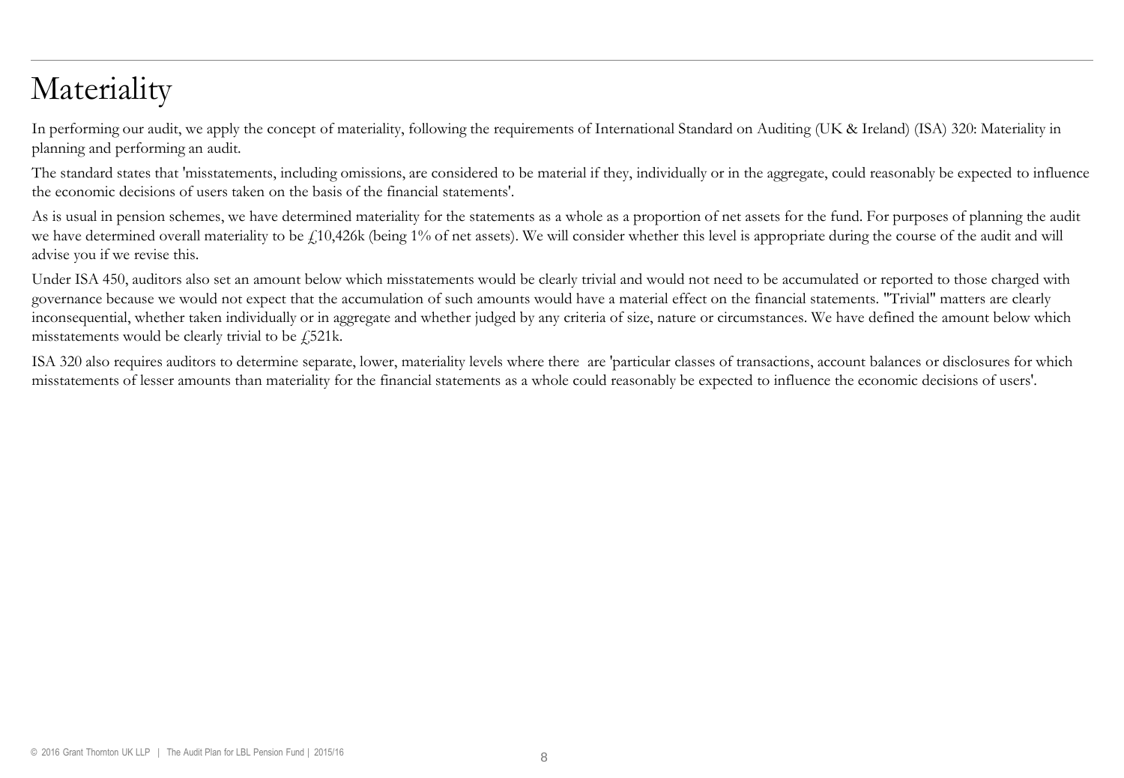## **Materiality**

In performing our audit, we apply the concept of materiality, following the requirements of International Standard on Auditing (UK & Ireland) (ISA) 320: Materiality in planning and performing an audit.

The standard states that 'misstatements, including omissions, are considered to be material if they, individually or in the aggregate, could reasonably be expected to influence the economic decisions of users taken on the basis of the financial statements'.

As is usual in pension schemes, we have determined materiality for the statements as a whole as a proportion of net assets for the fund. For purposes of planning the audit we have determined overall materiality to be £10,426k (being 1% of net assets). We will consider whether this level is appropriate during the course of the audit and will advise you if we revise this.

Under ISA 450, auditors also set an amount below which misstatements would be clearly trivial and would not need to be accumulated or reported to those charged with governance because we would not expect that the accumulation of such amounts would have a material effect on the financial statements. "Trivial" matters are clearly inconsequential, whether taken individually or in aggregate and whether judged by any criteria of size, nature or circumstances. We have defined the amount below which misstatements would be clearly trivial to be  $\sqrt{521}$ k.

ISA 320 also requires auditors to determine separate, lower, materiality levels where there are 'particular classes of transactions, account balances or disclosures for which misstatements of lesser amounts than materiality for the financial statements as a whole could reasonably be expected to influence the economic decisions of users'.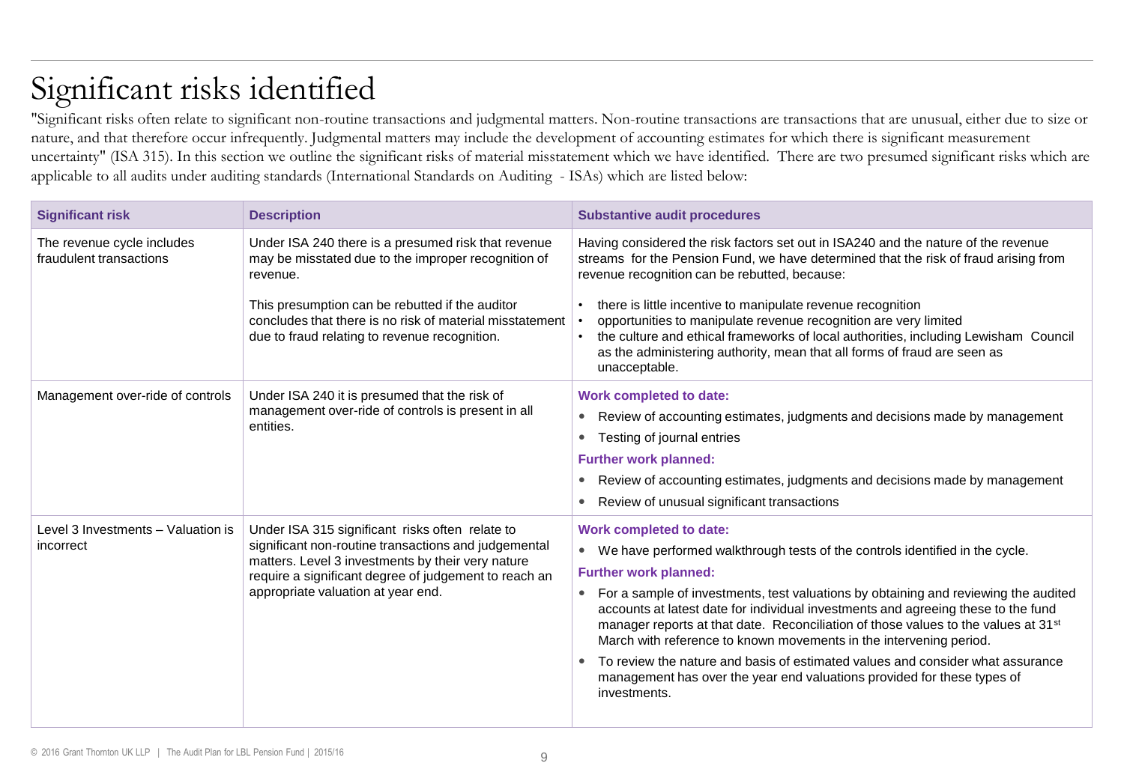# Significant risks identified

"Significant risks often relate to significant non-routine transactions and judgmental matters. Non-routine transactions are transactions that are unusual, either due to size or nature, and that therefore occur infrequently. Judgmental matters may include the development of accounting estimates for which there is significant measurement uncertainty" (ISA 315). In this section we outline the significant risks of material misstatement which we have identified. There are two presumed significant risks which are applicable to all audits under auditing standards (International Standards on Auditing - ISAs) which are listed below:

| <b>Significant risk</b>                               | <b>Description</b>                                                                                                                                                                                                                                          | <b>Substantive audit procedures</b>                                                                                                                                                                                                                                                                                                                                                                                                                                                                                                                                                                                                                                                 |
|-------------------------------------------------------|-------------------------------------------------------------------------------------------------------------------------------------------------------------------------------------------------------------------------------------------------------------|-------------------------------------------------------------------------------------------------------------------------------------------------------------------------------------------------------------------------------------------------------------------------------------------------------------------------------------------------------------------------------------------------------------------------------------------------------------------------------------------------------------------------------------------------------------------------------------------------------------------------------------------------------------------------------------|
| The revenue cycle includes<br>fraudulent transactions | Under ISA 240 there is a presumed risk that revenue<br>may be misstated due to the improper recognition of<br>revenue.                                                                                                                                      | Having considered the risk factors set out in ISA240 and the nature of the revenue<br>streams for the Pension Fund, we have determined that the risk of fraud arising from<br>revenue recognition can be rebutted, because:                                                                                                                                                                                                                                                                                                                                                                                                                                                         |
|                                                       | This presumption can be rebutted if the auditor<br>concludes that there is no risk of material misstatement<br>due to fraud relating to revenue recognition.                                                                                                | there is little incentive to manipulate revenue recognition<br>opportunities to manipulate revenue recognition are very limited<br>the culture and ethical frameworks of local authorities, including Lewisham Council<br>as the administering authority, mean that all forms of fraud are seen as<br>unacceptable.                                                                                                                                                                                                                                                                                                                                                                 |
| Management over-ride of controls                      | Under ISA 240 it is presumed that the risk of<br>management over-ride of controls is present in all<br>entities.                                                                                                                                            | <b>Work completed to date:</b><br>Review of accounting estimates, judgments and decisions made by management<br>$\bullet$<br>Testing of journal entries<br><b>Further work planned:</b><br>Review of accounting estimates, judgments and decisions made by management<br>Review of unusual significant transactions                                                                                                                                                                                                                                                                                                                                                                 |
| Level 3 Investments - Valuation is<br>incorrect       | Under ISA 315 significant risks often relate to<br>significant non-routine transactions and judgemental<br>matters. Level 3 investments by their very nature<br>require a significant degree of judgement to reach an<br>appropriate valuation at year end. | <b>Work completed to date:</b><br>• We have performed walkthrough tests of the controls identified in the cycle.<br><b>Further work planned:</b><br>• For a sample of investments, test valuations by obtaining and reviewing the audited<br>accounts at latest date for individual investments and agreeing these to the fund<br>manager reports at that date. Reconciliation of those values to the values at 31 <sup>st</sup><br>March with reference to known movements in the intervening period.<br>To review the nature and basis of estimated values and consider what assurance<br>management has over the year end valuations provided for these types of<br>investments. |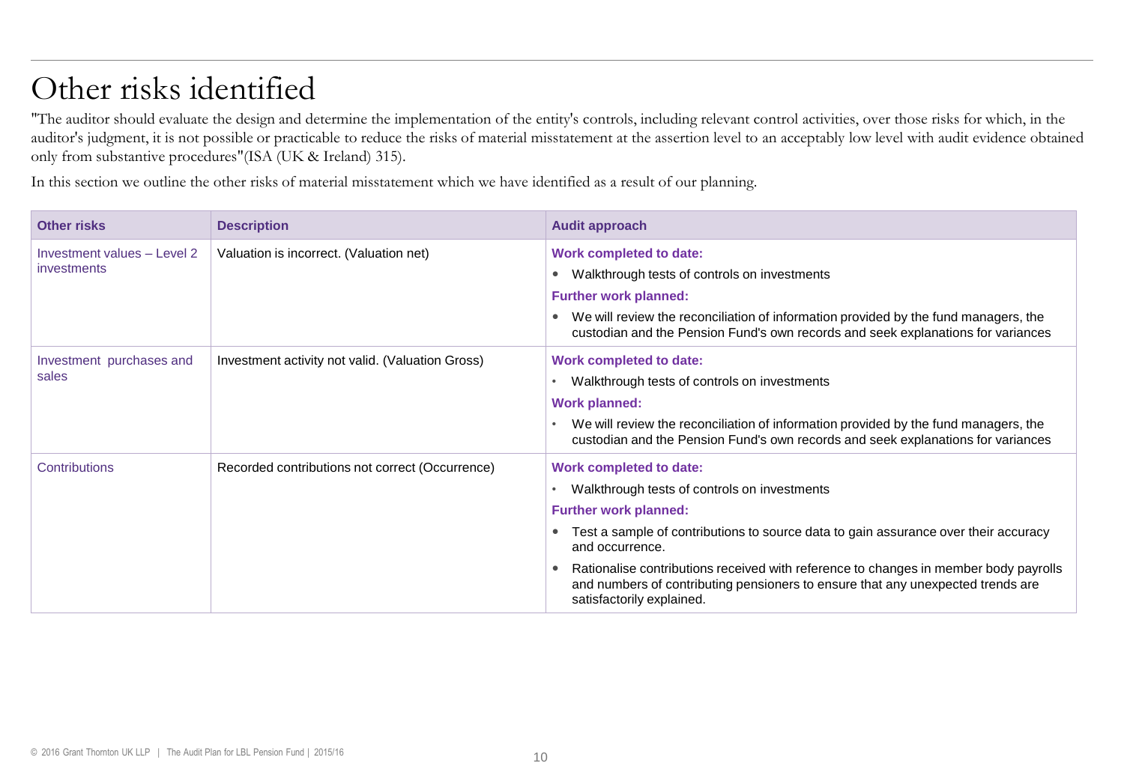# Other risks identified

"The auditor should evaluate the design and determine the implementation of the entity's controls, including relevant control activities, over those risks for which, in the auditor's judgment, it is not possible or practicable to reduce the risks of material misstatement at the assertion level to an acceptably low level with audit evidence obtained only from substantive procedures"(ISA (UK & Ireland) 315).

In this section we outline the other risks of material misstatement which we have identified as a result of our planning.

| <b>Other risks</b>                         | <b>Description</b>                               | <b>Audit approach</b>                                                                                                                                                                                                                                                                                                                                                                                                                         |
|--------------------------------------------|--------------------------------------------------|-----------------------------------------------------------------------------------------------------------------------------------------------------------------------------------------------------------------------------------------------------------------------------------------------------------------------------------------------------------------------------------------------------------------------------------------------|
| Investment values - Level 2<br>investments | Valuation is incorrect. (Valuation net)          | <b>Work completed to date:</b><br>Walkthrough tests of controls on investments<br>$\bullet$<br><b>Further work planned:</b><br>We will review the reconciliation of information provided by the fund managers, the<br>$\bullet$<br>custodian and the Pension Fund's own records and seek explanations for variances                                                                                                                           |
| Investment purchases and<br>sales          | Investment activity not valid. (Valuation Gross) | <b>Work completed to date:</b><br>Walkthrough tests of controls on investments<br><b>Work planned:</b><br>We will review the reconciliation of information provided by the fund managers, the<br>custodian and the Pension Fund's own records and seek explanations for variances                                                                                                                                                             |
| Contributions                              | Recorded contributions not correct (Occurrence)  | <b>Work completed to date:</b><br>Walkthrough tests of controls on investments<br><b>Further work planned:</b><br>Test a sample of contributions to source data to gain assurance over their accuracy<br>$\bullet$<br>and occurrence.<br>Rationalise contributions received with reference to changes in member body payrolls<br>and numbers of contributing pensioners to ensure that any unexpected trends are<br>satisfactorily explained. |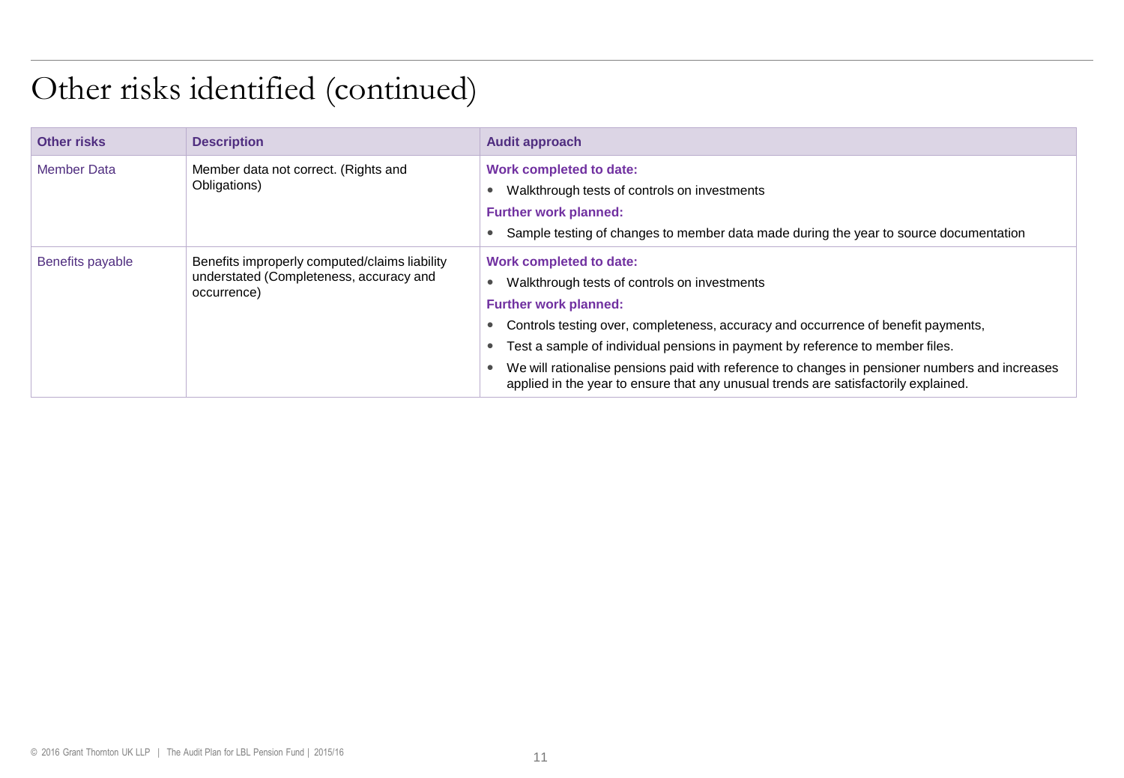## Other risks identified (continued)

| Other risks        | <b>Description</b>                                                                                      | <b>Audit approach</b>                                                                                                                                                                                                                                                                                                                                                                                                                                                         |
|--------------------|---------------------------------------------------------------------------------------------------------|-------------------------------------------------------------------------------------------------------------------------------------------------------------------------------------------------------------------------------------------------------------------------------------------------------------------------------------------------------------------------------------------------------------------------------------------------------------------------------|
| <b>Member Data</b> | Member data not correct. (Rights and<br>Obligations)                                                    | Work completed to date:<br>Walkthrough tests of controls on investments<br><b>Further work planned:</b><br>Sample testing of changes to member data made during the year to source documentation                                                                                                                                                                                                                                                                              |
| Benefits payable   | Benefits improperly computed/claims liability<br>understated (Completeness, accuracy and<br>occurrence) | <b>Work completed to date:</b><br>Walkthrough tests of controls on investments<br><b>Further work planned:</b><br>Controls testing over, completeness, accuracy and occurrence of benefit payments,<br>Test a sample of individual pensions in payment by reference to member files.<br>We will rationalise pensions paid with reference to changes in pensioner numbers and increases<br>applied in the year to ensure that any unusual trends are satisfactorily explained. |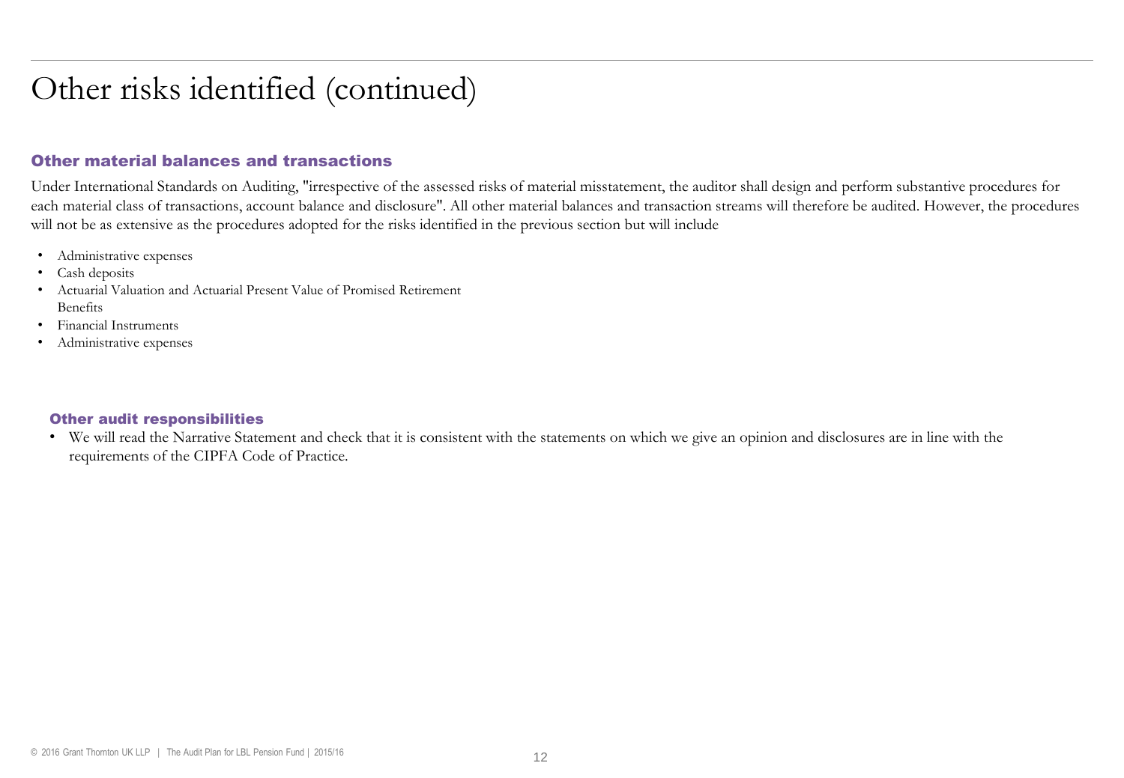### Other risks identified (continued)

#### Other material balances and transactions

Under International Standards on Auditing, "irrespective of the assessed risks of material misstatement, the auditor shall design and perform substantive procedures for each material class of transactions, account balance and disclosure". All other material balances and transaction streams will therefore be audited. However, the procedures will not be as extensive as the procedures adopted for the risks identified in the previous section but will include

- Administrative expenses
- Cash deposits
- Actuarial Valuation and Actuarial Present Value of Promised Retirement Benefits
- Financial Instruments
- Administrative expenses

#### Other audit responsibilities

• We will read the Narrative Statement and check that it is consistent with the statements on which we give an opinion and disclosures are in line with the requirements of the CIPFA Code of Practice.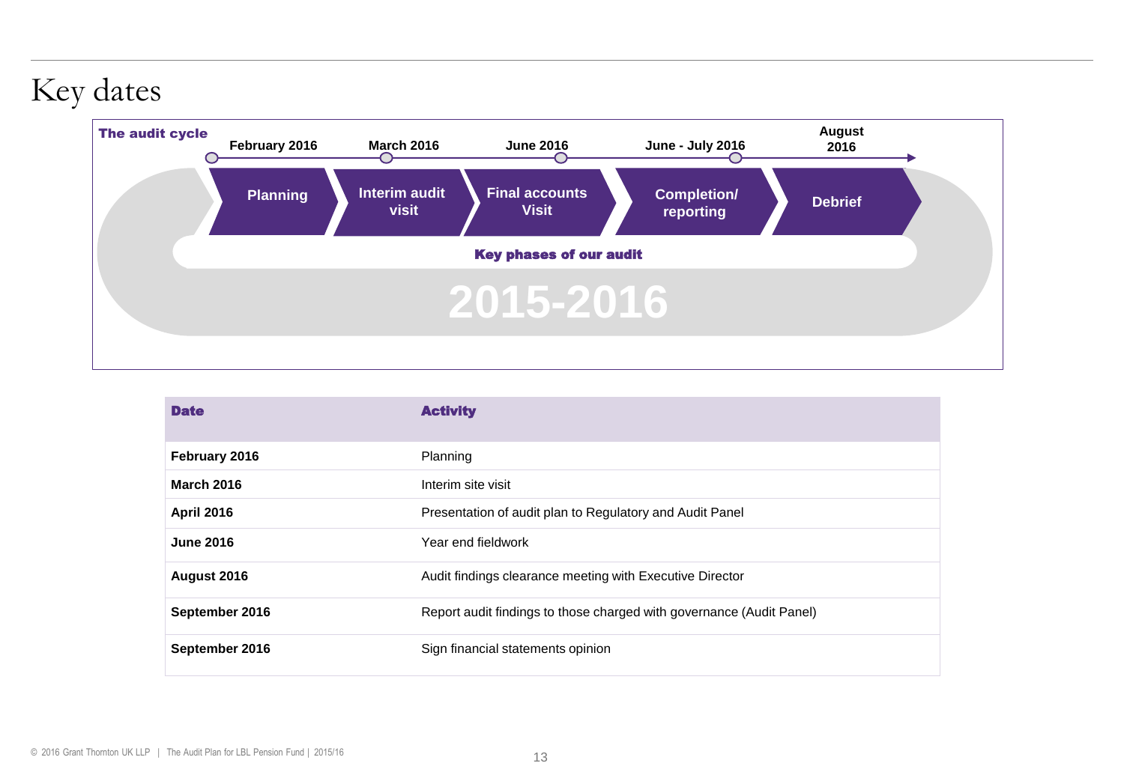### Key dates



| <b>Date</b>       | <b>Activity</b>                                                      |  |
|-------------------|----------------------------------------------------------------------|--|
| February 2016     | Planning                                                             |  |
| <b>March 2016</b> | Interim site visit                                                   |  |
| <b>April 2016</b> | Presentation of audit plan to Regulatory and Audit Panel             |  |
| <b>June 2016</b>  | Year end fieldwork                                                   |  |
| August 2016       | Audit findings clearance meeting with Executive Director             |  |
| September 2016    | Report audit findings to those charged with governance (Audit Panel) |  |
| September 2016    | Sign financial statements opinion                                    |  |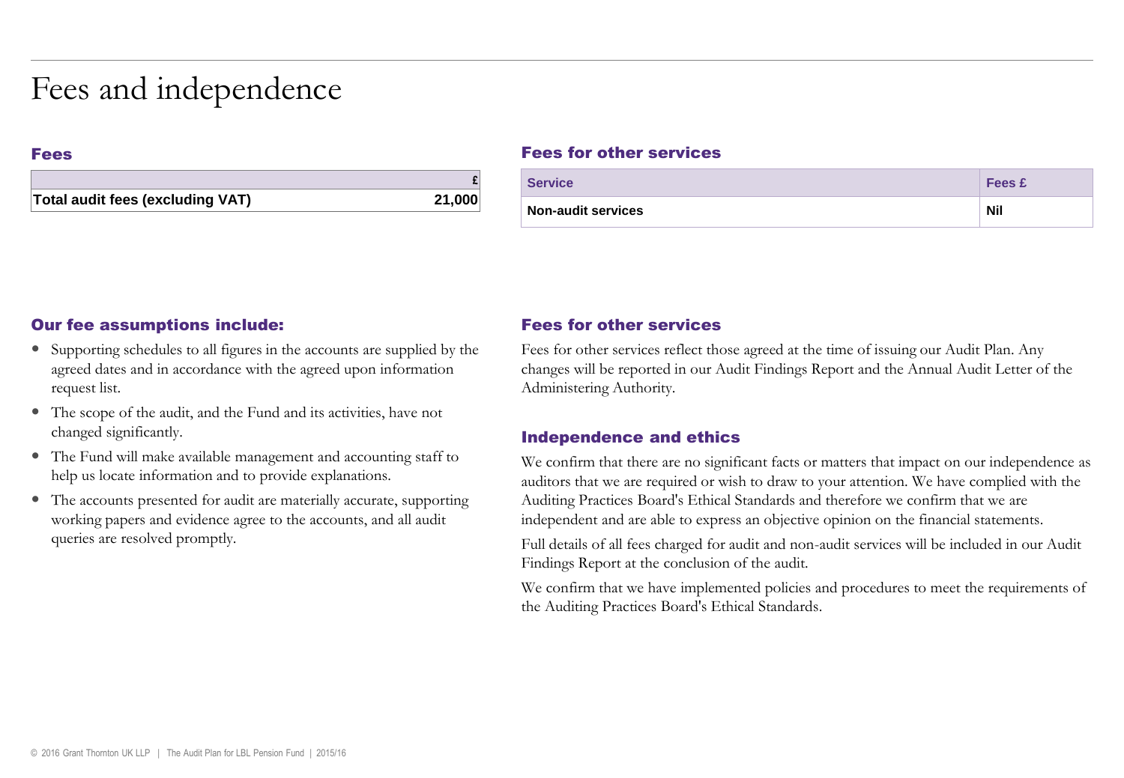### Fees and independence

#### Fees

| Total audit fees (excluding VAT) | 21,000 |
|----------------------------------|--------|

#### Fees for other services

| <b>Service</b>     | <b>Fees £</b> |
|--------------------|---------------|
| Non-audit services | <b>Nil</b>    |

#### Our fee assumptions include:

- Supporting schedules to all figures in the accounts are supplied by the agreed dates and in accordance with the agreed upon information request list.
- The scope of the audit, and the Fund and its activities, have not changed significantly.
- The Fund will make available management and accounting staff to help us locate information and to provide explanations.
- The accounts presented for audit are materially accurate, supporting working papers and evidence agree to the accounts, and all audit queries are resolved promptly.

#### Fees for other services

Fees for other services reflect those agreed at the time of issuing our Audit Plan. Any changes will be reported in our Audit Findings Report and the Annual Audit Letter of the Administering Authority.

#### Independence and ethics

We confirm that there are no significant facts or matters that impact on our independence as auditors that we are required or wish to draw to your attention. We have complied with the Auditing Practices Board's Ethical Standards and therefore we confirm that we are independent and are able to express an objective opinion on the financial statements.

Full details of all fees charged for audit and non-audit services will be included in our Audit Findings Report at the conclusion of the audit.

We confirm that we have implemented policies and procedures to meet the requirements of the Auditing Practices Board's Ethical Standards.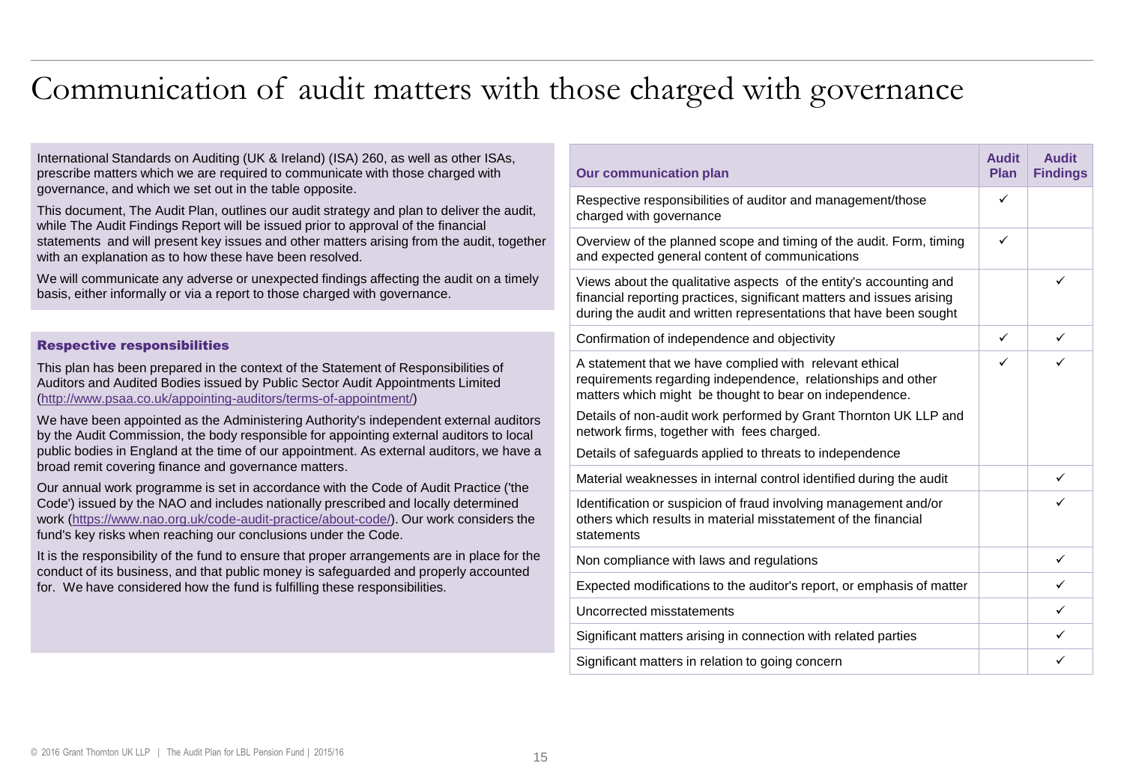### Communication of audit matters with those charged with governance

International Standards on Auditing (UK & Ireland) (ISA) 260, as well as other ISAs, prescribe matters which we are required to communicate with those charged with governance, and which we set out in the table opposite.

This document, The Audit Plan, outlines our audit strategy and plan to deliver the audit, while The Audit Findings Report will be issued prior to approval of the financial statements and will present key issues and other matters arising from the audit, together with an explanation as to how these have been resolved.

We will communicate any adverse or unexpected findings affecting the audit on a timely basis, either informally or via a report to those charged with governance.

#### Respective responsibilities

This plan has been prepared in the context of the Statement of Responsibilities of Auditors and Audited Bodies issued by Public Sector Audit Appointments Limited ([http://www.psaa.co.uk/appointing-auditors/terms-of-appointment/\)](http://www.psaa.co.uk/appointing-auditors/terms-of-appointment/)

We have been appointed as the Administering Authority's independent external auditors by the Audit Commission, the body responsible for appointing external auditors to local public bodies in England at the time of our appointment. As external auditors, we have a broad remit covering finance and governance matters.

Our annual work programme is set in accordance with the Code of Audit Practice ('the Code') issued by the NAO and includes nationally prescribed and locally determined work [\(https://www.nao.org.uk/code-audit-practice/about-code/](https://www.nao.org.uk/code-audit-practice/about-code/)). Our work considers the fund's key risks when reaching our conclusions under the Code.

It is the responsibility of the fund to ensure that proper arrangements are in place for the conduct of its business, and that public money is safeguarded and properly accounted for. We have considered how the fund is fulfilling these responsibilities.

| <b>Our communication plan</b>                                                                                                                                                                                                                                                                                                                                    | <b>Audit</b><br>Plan | <b>Audit</b><br><b>Findings</b> |
|------------------------------------------------------------------------------------------------------------------------------------------------------------------------------------------------------------------------------------------------------------------------------------------------------------------------------------------------------------------|----------------------|---------------------------------|
| Respective responsibilities of auditor and management/those<br>charged with governance                                                                                                                                                                                                                                                                           | ✓                    |                                 |
| Overview of the planned scope and timing of the audit. Form, timing<br>and expected general content of communications                                                                                                                                                                                                                                            | ✓                    |                                 |
| Views about the qualitative aspects of the entity's accounting and<br>financial reporting practices, significant matters and issues arising<br>during the audit and written representations that have been sought                                                                                                                                                |                      | ✓                               |
| Confirmation of independence and objectivity                                                                                                                                                                                                                                                                                                                     | ✓                    | ✓                               |
| A statement that we have complied with relevant ethical<br>requirements regarding independence, relationships and other<br>matters which might be thought to bear on independence.<br>Details of non-audit work performed by Grant Thornton UK LLP and<br>network firms, together with fees charged.<br>Details of safeguards applied to threats to independence | ✓                    | ✓                               |
| Material weaknesses in internal control identified during the audit                                                                                                                                                                                                                                                                                              |                      | ✓                               |
| Identification or suspicion of fraud involving management and/or<br>others which results in material misstatement of the financial<br>statements                                                                                                                                                                                                                 |                      | ✓                               |
| Non compliance with laws and regulations                                                                                                                                                                                                                                                                                                                         |                      | ✓                               |
| Expected modifications to the auditor's report, or emphasis of matter                                                                                                                                                                                                                                                                                            |                      | ✓                               |
| Uncorrected misstatements                                                                                                                                                                                                                                                                                                                                        |                      | ✓                               |
| Significant matters arising in connection with related parties                                                                                                                                                                                                                                                                                                   |                      | ✓                               |
| Significant matters in relation to going concern                                                                                                                                                                                                                                                                                                                 |                      | ✓                               |